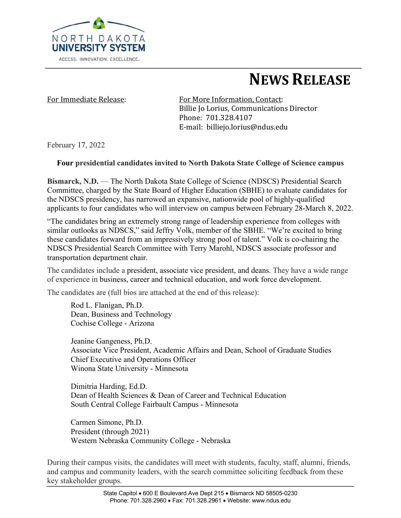

# **NEWS RELEASE**

For Immediate Release: For More Information, Contact: Billie Io Lorius, Communications Director Phone: 701.328.4107 E-mail: billiejo.lorius@ndus.edu

February 17, 2022

### **Four presidential candidates invited to North Dakota State College of Science campus**

**Bismarck, N.D.** — The North Dakota State College of Science (NDSCS) Presidential Search Committee, charged by the State Board of Higher Education (SBHE) to evaluate candidates for the NDSCS presidency, has narrowed an expansive, nationwide pool of highly-qualified applicants to four candidates who will interview on campus between February 28-March 8, 2022.

"The candidates bring an extremely strong range of leadership experience from colleges with similar outlooks as NDSCS," said Jeffry Volk, member of the SBHE. "We're excited to bring these candidates forward from an impressively strong pool of talent." Volk is co-chairing the NDSCS Presidential Search Committee with Terry Marohl, NDSCS associate professor and transportation department chair.

The candidates include a president, associate vice president, and deans. They have a wide range of experience in business, career and technical education, and work force development.

The candidates are (full bios are attached at the end of this release):

Rod L. Flanigan, Ph.D. Dean, Business and Technology Cochise College - Arizona

Jeanine Gangeness, Ph.D. Associate Vice President, Academic Affairs and Dean, School of Graduate Studies Chief Executive and Operations Officer Winona State University - Minnesota

Dimitria Harding, Ed.D. Dean of Health Sciences & Dean of Career and Technical Education South Central College Fairbault Campus - Minnesota

Carmen Simone, Ph.D. President (through 2021) Western Nebraska Community College - Nebraska

During their campus visits, the candidates will meet with students, faculty, staff, alumni, friends, and campus and community leaders, with the search committee soliciting feedback from these key stakeholder groups.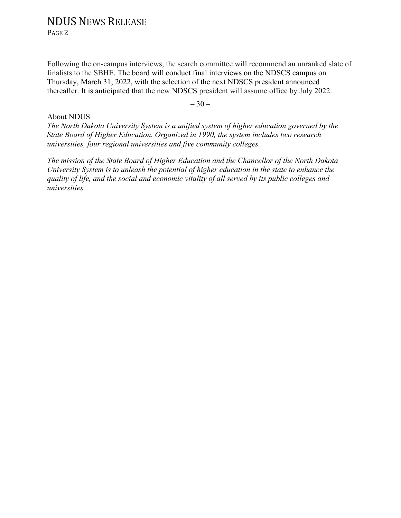PAGE 2

Following the on-campus interviews, the search committee will recommend an unranked slate of finalists to the SBHE. The board will conduct final interviews on the NDSCS campus on Thursday, March 31, 2022, with the selection of the next NDSCS president announced thereafter. It is anticipated that the new NDSCS president will assume office by July 2022.

 $-30-$ 

#### About NDUS

*The North Dakota University System is a unified system of higher education governed by the State Board of Higher Education. Organized in 1990, the system includes two research universities, four regional universities and five community colleges.*

*The mission of the State Board of Higher Education and the Chancellor of the North Dakota University System is to unleash the potential of higher education in the state to enhance the quality of life, and the social and economic vitality of all served by its public colleges and universities.*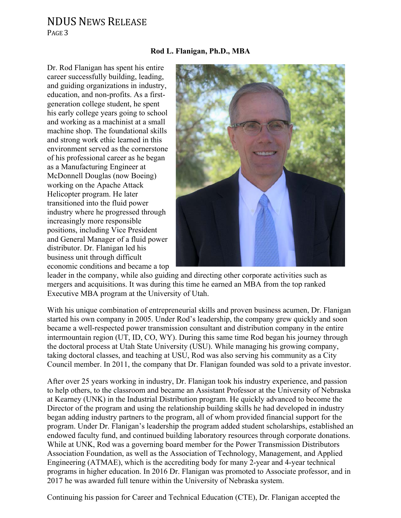PAGE 3

#### **Rod L. Flanigan, Ph.D., MBA**

Dr. Rod Flanigan has spent his entire career successfully building, leading, and guiding organizations in industry, education, and non-profits. As a firstgeneration college student, he spent his early college years going to school and working as a machinist at a small machine shop. The foundational skills and strong work ethic learned in this environment served as the cornerstone of his professional career as he began as a Manufacturing Engineer at McDonnell Douglas (now Boeing) working on the Apache Attack Helicopter program. He later transitioned into the fluid power industry where he progressed through increasingly more responsible positions, including Vice President and General Manager of a fluid power distributor. Dr. Flanigan led his business unit through difficult economic conditions and became a top



leader in the company, while also guiding and directing other corporate activities such as mergers and acquisitions. It was during this time he earned an MBA from the top ranked Executive MBA program at the University of Utah.

With his unique combination of entrepreneurial skills and proven business acumen, Dr. Flanigan started his own company in 2005. Under Rod's leadership, the company grew quickly and soon became a well-respected power transmission consultant and distribution company in the entire intermountain region (UT, ID, CO, WY). During this same time Rod began his journey through the doctoral process at Utah State University (USU). While managing his growing company, taking doctoral classes, and teaching at USU, Rod was also serving his community as a City Council member. In 2011, the company that Dr. Flanigan founded was sold to a private investor.

After over 25 years working in industry, Dr. Flanigan took his industry experience, and passion to help others, to the classroom and became an Assistant Professor at the University of Nebraska at Kearney (UNK) in the Industrial Distribution program. He quickly advanced to become the Director of the program and using the relationship building skills he had developed in industry began adding industry partners to the program, all of whom provided financial support for the program. Under Dr. Flanigan's leadership the program added student scholarships, established an endowed faculty fund, and continued building laboratory resources through corporate donations. While at UNK, Rod was a governing board member for the Power Transmission Distributors Association Foundation, as well as the Association of Technology, Management, and Applied Engineering (ATMAE), which is the accrediting body for many 2-year and 4-year technical programs in higher education. In 2016 Dr. Flanigan was promoted to Associate professor, and in 2017 he was awarded full tenure within the University of Nebraska system.

Continuing his passion for Career and Technical Education (CTE), Dr. Flanigan accepted the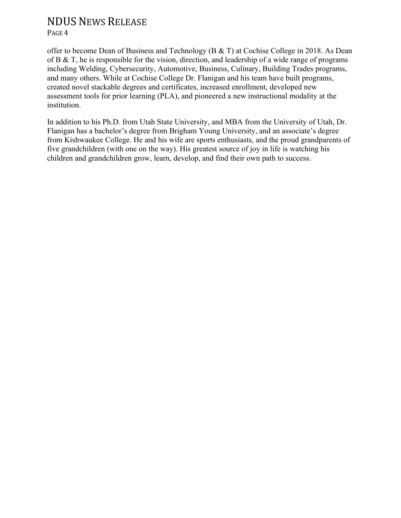PAGE<sub>4</sub>

offer to become Dean of Business and Technology (B & T) at Cochise College in 2018. As Dean of B & T, he is responsible for the vision, direction, and leadership of a wide range of programs including Welding, Cybersecurity, Automotive, Business, Culinary, Building Trades programs, and many others. While at Cochise College Dr. Flanigan and his team have built programs, created novel stackable degrees and certificates, increased enrollment, developed new assessment tools for prior learning (PLA), and pioneered a new instructional modality at the institution.

In addition to his Ph.D. from Utah State University, and MBA from the University of Utah, Dr. Flanigan has a bachelor's degree from Brigham Young University, and an associate's degree from Kishwaukee College. He and his wife are sports enthusiasts, and the proud grandparents of five grandchildren (with one on the way). His greatest source of joy in life is watching his children and grandchildren grow, learn, develop, and find their own path to success.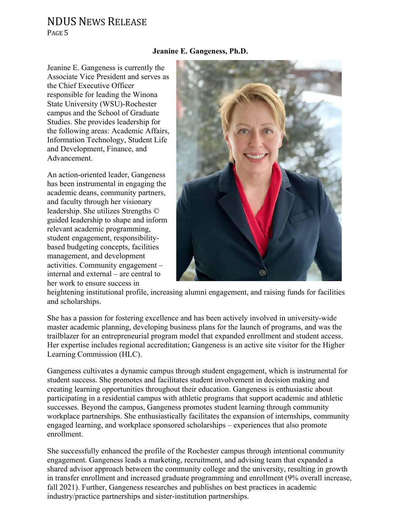PAGE<sub>5</sub>

#### **Jeanine E. Gangeness, Ph.D.**

Jeanine E. Gangeness is currently the Associate Vice President and serves as the Chief Executive Officer responsible for leading the Winona State University (WSU)-Rochester campus and the School of Graduate Studies. She provides leadership for the following areas: Academic Affairs, Information Technology, Student Life and Development, Finance, and Advancement.

An action-oriented leader, Gangeness has been instrumental in engaging the academic deans, community partners, and faculty through her visionary leadership. She utilizes Strengths © guided leadership to shape and inform relevant academic programming, student engagement, responsibilitybased budgeting concepts, facilities management, and development activities. Community engagement – internal and external – are central to her work to ensure success in



heightening institutional profile, increasing alumni engagement, and raising funds for facilities and scholarships.

She has a passion for fostering excellence and has been actively involved in university-wide master academic planning, developing business plans for the launch of programs, and was the trailblazer for an entrepreneurial program model that expanded enrollment and student access. Her expertise includes regional accreditation; Gangeness is an active site visitor for the Higher Learning Commission (HLC).

Gangeness cultivates a dynamic campus through student engagement, which is instrumental for student success. She promotes and facilitates student involvement in decision making and creating learning opportunities throughout their education. Gangeness is enthusiastic about participating in a residential campus with athletic programs that support academic and athletic successes. Beyond the campus, Gangeness promotes student learning through community workplace partnerships. She enthusiastically facilitates the expansion of internships, community engaged learning, and workplace sponsored scholarships – experiences that also promote enrollment.

She successfully enhanced the profile of the Rochester campus through intentional community engagement. Gangeness leads a marketing, recruitment, and advising team that expanded a shared advisor approach between the community college and the university, resulting in growth in transfer enrollment and increased graduate programming and enrollment (9% overall increase, fall 2021). Further, Gangeness researches and publishes on best practices in academic industry/practice partnerships and sister-institution partnerships.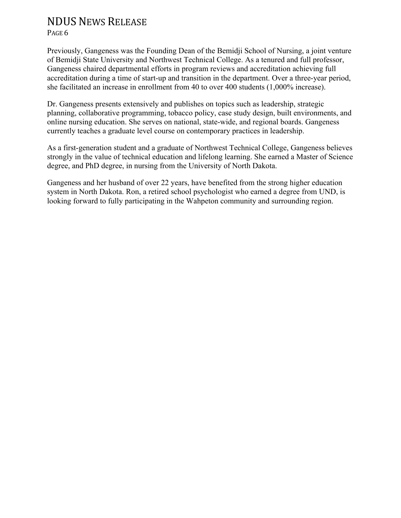PAGE<sub>6</sub>

Previously, Gangeness was the Founding Dean of the Bemidji School of Nursing, a joint venture of Bemidji State University and Northwest Technical College. As a tenured and full professor, Gangeness chaired departmental efforts in program reviews and accreditation achieving full accreditation during a time of start-up and transition in the department. Over a three-year period, she facilitated an increase in enrollment from 40 to over 400 students (1,000% increase).

Dr. Gangeness presents extensively and publishes on topics such as leadership, strategic planning, collaborative programming, tobacco policy, case study design, built environments, and online nursing education. She serves on national, state-wide, and regional boards. Gangeness currently teaches a graduate level course on contemporary practices in leadership.

As a first-generation student and a graduate of Northwest Technical College, Gangeness believes strongly in the value of technical education and lifelong learning. She earned a Master of Science degree, and PhD degree, in nursing from the University of North Dakota.

Gangeness and her husband of over 22 years, have benefited from the strong higher education system in North Dakota. Ron, a retired school psychologist who earned a degree from UND, is looking forward to fully participating in the Wahpeton community and surrounding region.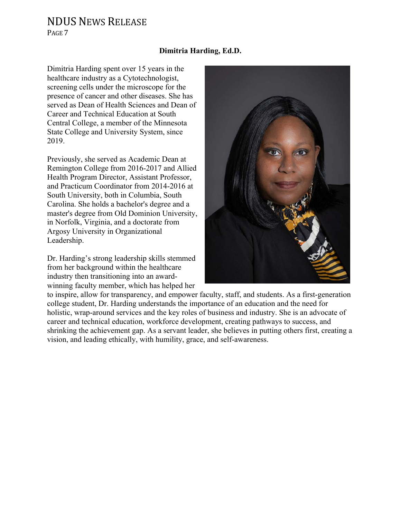PAGE<sub>7</sub>

### **Dimitria Harding, Ed.D.**

Dimitria Harding spent over 15 years in the healthcare industry as a Cytotechnologist, screening cells under the microscope for the presence of cancer and other diseases. She has served as Dean of Health Sciences and Dean of Career and Technical Education at South Central College, a member of the Minnesota State College and University System, since 2019.

Previously, she served as Academic Dean at Remington College from 2016-2017 and Allied Health Program Director, Assistant Professor, and Practicum Coordinator from 2014-2016 at South University, both in Columbia, South Carolina. She holds a bachelor's degree and a master's degree from Old Dominion University, in Norfolk, Virginia, and a doctorate from Argosy University in Organizational Leadership.

Dr. Harding's strong leadership skills stemmed from her background within the healthcare industry then transitioning into an awardwinning faculty member, which has helped her



to inspire, allow for transparency, and empower faculty, staff, and students. As a first-generation college student, Dr. Harding understands the importance of an education and the need for holistic, wrap-around services and the key roles of business and industry. She is an advocate of career and technical education, workforce development, creating pathways to success, and shrinking the achievement gap. As a servant leader, she believes in putting others first, creating a vision, and leading ethically, with humility, grace, and self-awareness.